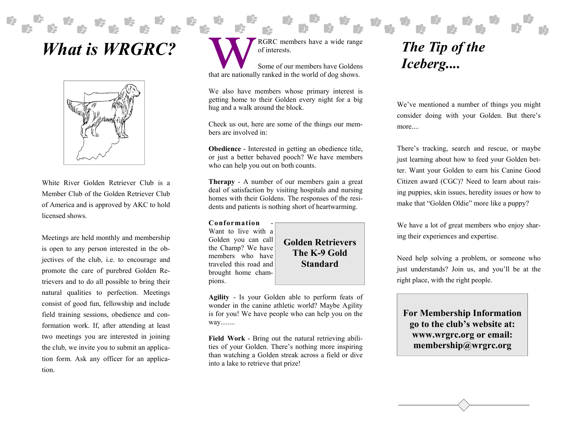## *What is WRGRC?*



White River Golden Retriever Club is a Member Club of the Golden Retriever Club of America and is approved by AKC to hold licensed shows.

Meetings are held monthly and membership is open to any person interested in the objectives of the club, i.e. to encourage and promote the care of purebred Golden Retrievers and to do all possible to bring their natural qualities to perfection. Meetings consist of good fun, fellowship and include field training sessions, obedience and conformation work. If, after attending at least two meetings you are interested in joining the club, we invite you to submit an application form. Ask any officer for an application.

RGRC members have a wide range of interests.

Some of our members have Goldens that are nationally ranked in the world of dog shows.

We also have members whose primary interest is getting home to their Golden every night for a big hug and a walk around the block.

Check us out, here are some of the things our members are involved in:

**Obedience** - Interested in getting an obedience title, or just a better behaved pooch? We have members who can help you out on both counts.

**Therapy** - A number of our members gain a great deal of satisfaction by visiting hospitals and nursing homes with their Goldens. The responses of the residents and patients is nothing short of heartwarming.

**Conformation** - Want to live with a Golden you can call the Champ? We have members who have traveled this road and brought home champions.

**Golden Retrievers The K-9 Gold Standard** 

**Agility** - Is your Golden able to perform feats of wonder in the canine athletic world? Maybe Agility is for you! We have people who can help you on the way........

**Field Work** - Bring out the natural retrieving abilities of your Golden. There's nothing more inspiring than watching a Golden streak across a field or dive into a lake to retrieve that prize!

## *The Tip of the Iceberg....*

We've mentioned a number of things you might consider doing with your Golden. But there's more....

There's tracking, search and rescue, or maybe just learning about how to feed your Golden better. Want your Golden to earn his Canine Good Citizen award (CGC)? Need to learn about raising puppies, skin issues, heredity issues or how to make that "Golden Oldie" more like a puppy?

We have a lot of great members who enjoy sharing their experiences and expertise.

Need help solving a problem, or someone who just understands? Join us, and you'll be at the right place, with the right people.

**For Membership Information go to the club's website at: www.wrgrc.org or email: membership@wrgrc.org**